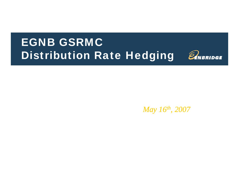# EGNB GSRMC Distribution Rate Hedging



*May 16th, 2007*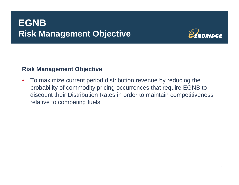## **EGNB Risk Management Objective Objective**



### **Risk Management Objective**

 $\bullet$ To maximize current period distribution revenue by reducing the probability of commodity pricing occurrences that require EGNB to discount their Distribution Rates in order to maintain competitiveness relative to competing fuels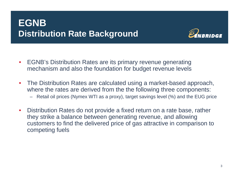## **EGNB Distribution Rate Background**



- • EGNB's Distribution Rates are its primary revenue generating mechanism and also the foundation for budget revenue levels
- • The Distribution Rates are calculated using a market-based approach, where the rates are derived from the the following three components:
	- Retail oil prices (Nymex WTI as a proxy), target savings level (%) and the EUG price
- • Distribution Rates do not provide a fixed return on a rate base, rather they strike a balance between generating revenue, and allowing customers to find the delivered price of gas attractive in comparison to competing fuels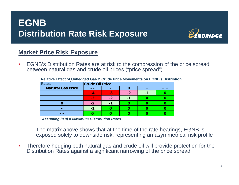## **EGNB Distribution Rate Risk Exposure Exposure**



### **Market Price Risk Exposure**

 $\bullet$  EGNB's Distribution Rates are at risk to the compression of the price spread between natural gas and crude oil prices ("price spread")

| <b>Rates</b>             | <b>Crude Oil Price</b> |       |      |  |  |  |
|--------------------------|------------------------|-------|------|--|--|--|
| <b>Natural Gas Price</b> |                        |       |      |  |  |  |
|                          | $-4$                   | $-11$ | $-2$ |  |  |  |
|                          | -3                     | -2    |      |  |  |  |
|                          | -2                     |       |      |  |  |  |
|                          |                        |       |      |  |  |  |
|                          |                        |       |      |  |  |  |

Relative Effect of Unhedged Gas & Crude Price Movements on EGNB's Distribtion

*Assuming (0,0) = Maximum Distribution Rates*

- The matrix above shows that at the time of the rate hearings, EGNB is exposed solely to downside risk, representing an asymmetrical risk profile
- $\bullet$  Therefore hedging both natural gas and crude oil will provide protection for the Distribution Rates against a significant narrowing of the price spread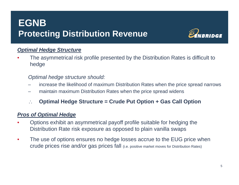## **EGNBProtecting Distribution Revenue**



### *Optimal Hedge Structure*

•The asymmetrical risk profile presented by the Distribution Rates is difficult to hedge

### *Optimal hedge structure should:*

- increase the likelihood of maximum Distribution Rates when the price spread narrows
- maintain maximum Distribution Rates when the price spread widens
- ∴**Opg p p timal Hedge Structure = Crude Put Option + Gas Call Option**

### *Pros of Optimal Hedge*

- • Options exhibit an asymmetrical payoff profile suitable for hedging the Distribution Rate risk exposure as opposed to plain vanilla swaps
- $\bullet$  The use of options ensures no hedge losses accrue to the EUG price when crude prices rise and/or gas prices fall (i.e. positive market moves for Distribution Rates)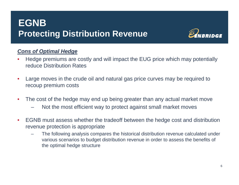## **EGNBProtecting Distribution Revenue**



### *Cons of Optimal Hedge*

- •Hedge premiums are costly and will impact the EUG price which may potentially reduce Distribution Rates
- •Large moves in the crude oil and natural gas price curves may be required to recoup premium costs
- $\bullet$  The cost of the hedge may end up being greater than any actual market move
	- Not the most efficient way to protect against small market moves
- $\bullet$  EGNB must assess whether the tradeoff between the hedge cost and distribution revenue protection is appropriate
	- – The following analysis compares the historical distribution revenue calculated under various scenarios to budget distribution revenue in order to assess the benefits of the optimal hedge structure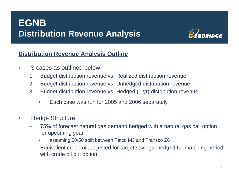

### **Distribution Revenue Analysis Outline**

- • 3 cases as outlined below:
	- 1. Budget distribution revenue vs. Realized distribution revenue
	- 2. Budget distribution revenue vs. Unhedged distribution revenue
	- 3. Budget distribution revenue vs. Hedged (1 yr) distribution revenue
		- •Each case was run for 2005 and 2006 separately
- • Hedge Structure
	- 75% of forecast natural gas demand hedged with <sup>a</sup> natural gas call option for upcoming year
		- •assuming 50/50 split between Tetco M3 and Transco Z6
	- Equivalent crude oil, adjusted for target savings, hedged for matching period with crude oil put option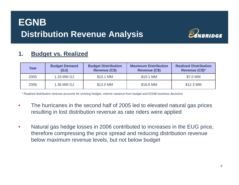

#### **1.Budget vs. Realized**

| Year | <b>Budget Demand</b><br>(GJ) | <b>Budget Distribution</b><br>Revenue (C\$) | <b>Maximum Distribution</b><br><b>Revenue (C\$)</b> | <b>Realized Distribution</b><br>Revenue (C\$)* |
|------|------------------------------|---------------------------------------------|-----------------------------------------------------|------------------------------------------------|
| 2005 | 1.33 MM GJ                   | \$10.1 MM                                   | \$10.1 MM                                           | \$7.0 MM                                       |
| 2006 | 1.36 MM GJ                   | \$12.0 MM                                   | \$18.6 MM                                           | \$12.3 MM                                      |

\* Realized distribution revenue accounts for existing hedges, volume variance from budget and EGNB business decisions

- The hurricanes in the second half of 2005 led to elevated natural gas prices •resulting in lost distribution revenue as rate riders were applied
- •Natural gas hedge losses in 2006 contributed to increases in the EUG price, therefore compressing the price spread and reducing distribution revenue below maximum revenue levels, but not below budget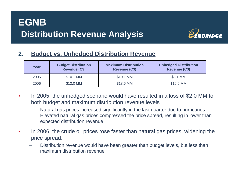

#### **2.Budget vs. Unhedged Distribution Revenue**

| Year | <b>Budget Distribution</b><br><b>Revenue (C\$)</b> | <b>Maximum Distribution</b><br>Revenue (C\$) | <b>Unhedged Distribution</b><br><b>Revenue (C\$)</b> |
|------|----------------------------------------------------|----------------------------------------------|------------------------------------------------------|
| 2005 | \$10.1 MM                                          | \$10.1 MM                                    | \$8.1 MM                                             |
| 2006 | \$12.0 MM                                          | \$18.6 MM                                    | \$16.6 MM                                            |

- • In 2005, the unhedged scenario would have resulted in a loss of \$2.0 MM to both budget and maximum distribution revenue levels
	- Natural gas prices increased significantly in the last quarter due to hurricanes. Elevated natural gas prices compressed the price spread, resulting in lower than expected distribution revenue
- • In 2006, the crude oil prices rose faster than natural gas prices, widening the price spread.
	- Distribution revenue would have been greater than budget levels, but less than maximum distribution revenue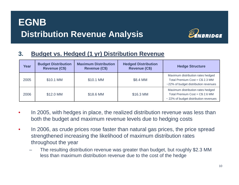

### **3. Budget vs. Hedged (1 yr) Distribution Revenue**

| <b>Year</b> | <b>Budget Distribution</b><br><b>Revenue (C\$)</b> | <b>Maximum Distribution</b><br><b>Revenue (C\$)</b> | <b>Hedged Distribution</b><br><b>Revenue (C\$)</b> | <b>Hedge Structure</b>                                                                                        |
|-------------|----------------------------------------------------|-----------------------------------------------------|----------------------------------------------------|---------------------------------------------------------------------------------------------------------------|
| 2005        | \$10.1 MM                                          | \$10.1 MM                                           | \$8.4 MM                                           | Maximum distribution rates hedged<br>Total Premium Cost = C\$ 2.3 MM<br>~22% of budget distribution revenues  |
| 2006        | \$12.0 MM                                          | \$18.6 MM                                           | \$16.3 MM                                          | Maximum distribution rates hedged<br>Total Premium Cost = C\$ 2.6 MM<br>~ 22% of budget distribution revenues |

- • In 2005, with hedges in place, the realized distribution revenue was less than both the budget and maximum revenue levels due to hedging costs
- • In 2006, as crude prices rose faster than natural gas prices, the price spread strengthened increasing the likelihood of maximum distribution rates throughout the year
	- The resulting distribution revenue was greater than budget, but roughly \$2.3 MM less than maximum distribution revenue due to the cost of the hedge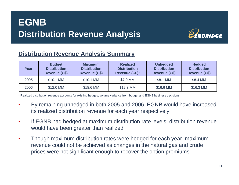

### **Distribution Revenue Analysis Summary**

| Year | <b>Budget</b><br><b>Distribution</b><br>Revenue (C\$) | <b>Maximum</b><br><b>Distribution</b><br><b>Revenue (C\$)</b> | <b>Realized</b><br><b>Distribution</b><br>Revenue (C\$)* | <b>Unhedged</b><br><b>Distribution</b><br><b>Revenue (C\$)</b> | <b>Hedged</b><br><b>Distribution</b><br><b>Revenue (C\$)</b> |
|------|-------------------------------------------------------|---------------------------------------------------------------|----------------------------------------------------------|----------------------------------------------------------------|--------------------------------------------------------------|
| 2005 | \$10.1 MM                                             | \$10.1 MM                                                     | \$7.0 MM                                                 | \$8.1 MM                                                       | \$8.4 MM                                                     |
| 2006 | \$12.0 MM                                             | \$18.6 MM                                                     | \$12.3 MM                                                | \$16.6 MM                                                      | \$16.3 MM                                                    |

\* Realized distribution revenue accounts for existing hedges, volume variance from budget and EGNB business decisions

- •• By remaining unhedged in both 2005 and 2006, EGNB would have increased its realized distribution revenue for each year respectively
- • If EGNB had hedged at maximum distribution rate levels, distribution revenue would have been greater than realized
- • Though maximum distribution rates were hedged for each year, maximum revenue could not be achieved as changes in the natural gas and crude prices were not significant enough to recover the option premiums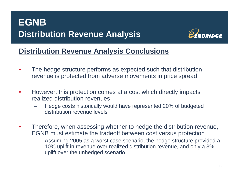

### **Distribution Revenue Analysis Conclusions**

- • The hedge structure performs as expected such that distribution revenue is protected from adverse movements in price spread
- • However, this protection comes at a cost which directly impacts realized distribution revenues
	- Hedge costs historically would have represented 20% of budgeted distribution revenue levels
- •Therefore, when assessing whether to hedge the distribution revenue, EGNB must estimate the tradeoff between cost versus protection
	- Assuming 2005 as a worst case scenario, the hedge structure provided a 10% uplift in revenue over realized distribution revenue, and only a 3% uplift over the unhedged scenario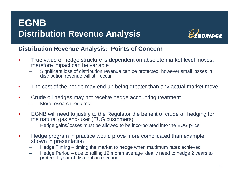

### **Distribution Revenue Analysis: Points of Concern**

- • True value of hedge structure is dependent on absolute market level moves, therefore impact can be variable
	- Significant loss of distribution revenue can be protected, however small losses in distribution revenue will still occur
- $\bullet$ The cost of the hedge may end up being greater than any actual market move
- • Crude oil hedges may not receive hedge accounting treatment
	- More research required
- • EGNB will need to justify to the Regulator the benefit of crude oil hedging for the natural gas end-user (EUG customers)
	- Hedge gains/losses must be allowed to be incorporated into the EUG price
- • Hedge program in practice would prove more complicated than example shown in presentation
	- Hedge Timing timing the market to hedge when maximum rates achieved
	- Hedge Period due to rolling 12 month average ideally need to hedge 2 years to protect 1 year of distribution revenue